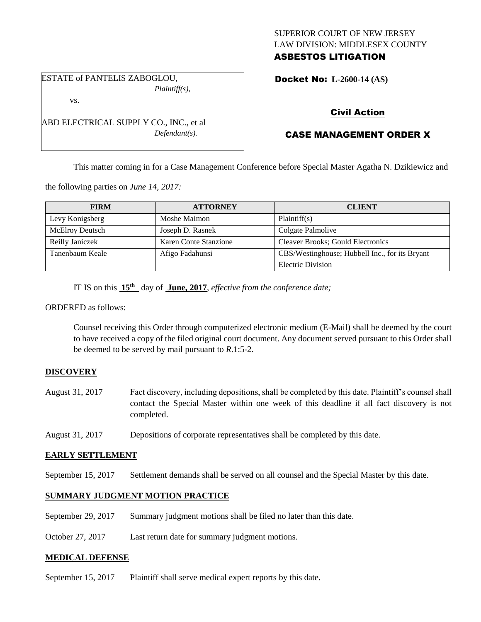### SUPERIOR COURT OF NEW JERSEY LAW DIVISION: MIDDLESEX COUNTY ASBESTOS LITIGATION

ESTATE of PANTELIS ZABOGLOU, *Plaintiff(s),*

ABD ELECTRICAL SUPPLY CO., INC., et al

*Defendant(s).*

vs.

Docket No: **L-2600-14 (AS)** 

# Civil Action

# CASE MANAGEMENT ORDER X

This matter coming in for a Case Management Conference before Special Master Agatha N. Dzikiewicz and

the following parties on *June 14, 2017:*

| <b>FIRM</b>            | <b>ATTORNEY</b>       | <b>CLIENT</b>                                  |
|------------------------|-----------------------|------------------------------------------------|
| Levy Konigsberg        | Moshe Maimon          | Plaintiff(s)                                   |
| <b>McElroy Deutsch</b> | Joseph D. Rasnek      | Colgate Palmolive                              |
| Reilly Janiczek        | Karen Conte Stanzione | <b>Cleaver Brooks; Gould Electronics</b>       |
| Tanenbaum Keale        | Afigo Fadahunsi       | CBS/Westinghouse; Hubbell Inc., for its Bryant |
|                        |                       | Electric Division                              |

IT IS on this **15th** day of **June, 2017**, *effective from the conference date;*

ORDERED as follows:

Counsel receiving this Order through computerized electronic medium (E-Mail) shall be deemed by the court to have received a copy of the filed original court document. Any document served pursuant to this Order shall be deemed to be served by mail pursuant to *R*.1:5-2.

## **DISCOVERY**

- August 31, 2017 Fact discovery, including depositions, shall be completed by this date. Plaintiff's counsel shall contact the Special Master within one week of this deadline if all fact discovery is not completed.
- August 31, 2017 Depositions of corporate representatives shall be completed by this date.

### **EARLY SETTLEMENT**

September 15, 2017 Settlement demands shall be served on all counsel and the Special Master by this date.

### **SUMMARY JUDGMENT MOTION PRACTICE**

September 29, 2017 Summary judgment motions shall be filed no later than this date.

October 27, 2017 Last return date for summary judgment motions.

### **MEDICAL DEFENSE**

September 15, 2017 Plaintiff shall serve medical expert reports by this date.